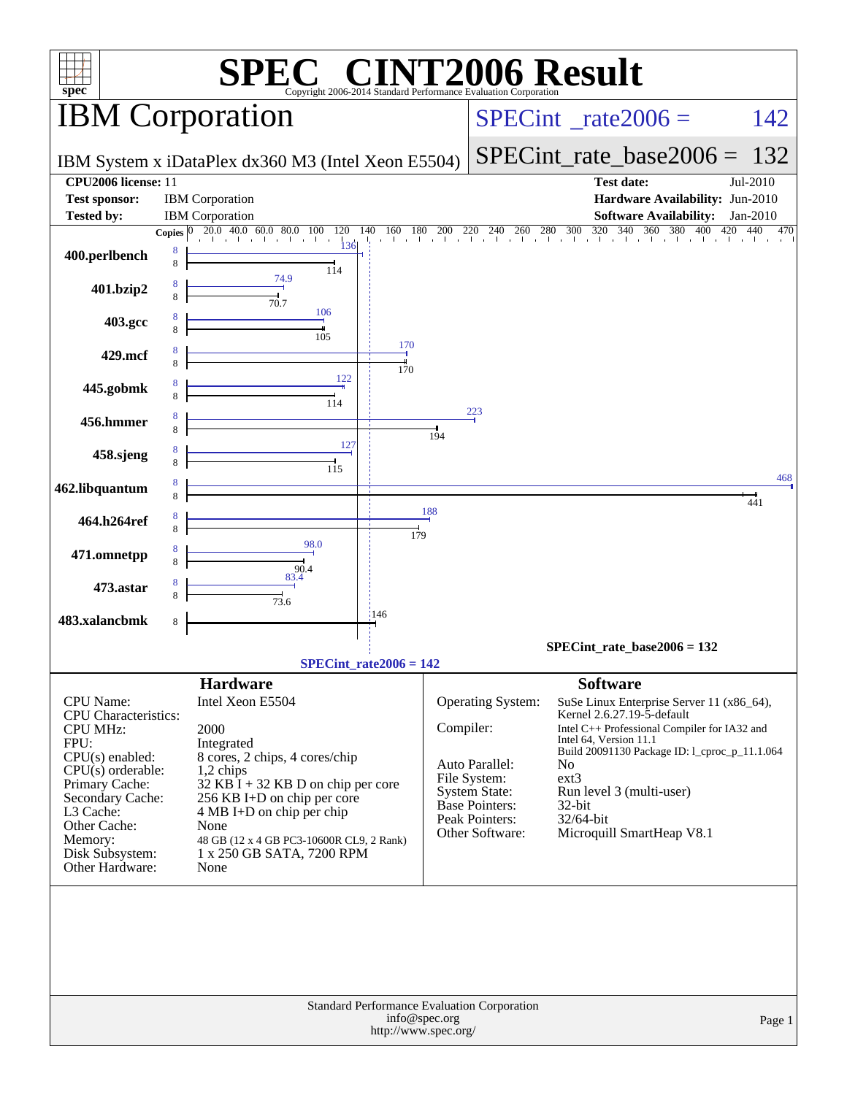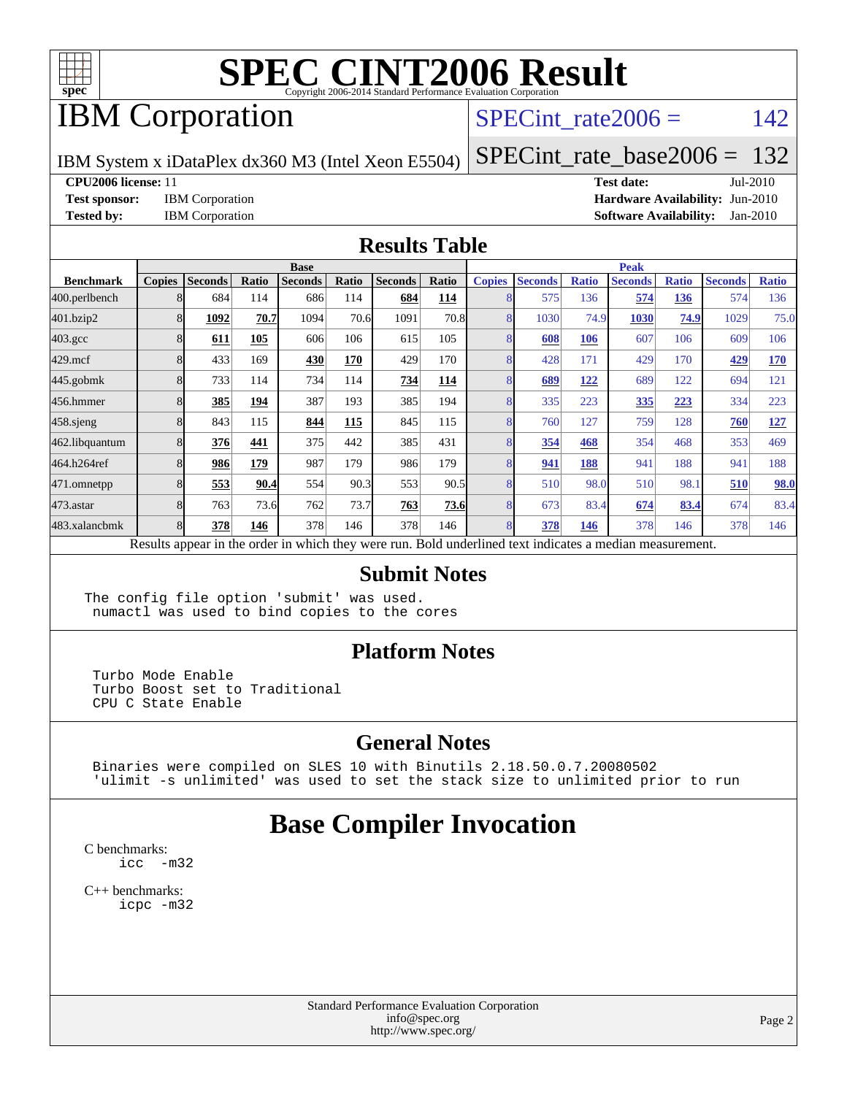

## IBM Corporation

#### SPECint rate $2006 = 142$

IBM System x iDataPlex dx360 M3 (Intel Xeon E5504)

[SPECint\\_rate\\_base2006 =](http://www.spec.org/auto/cpu2006/Docs/result-fields.html#SPECintratebase2006) 132

**[CPU2006 license:](http://www.spec.org/auto/cpu2006/Docs/result-fields.html#CPU2006license)** 11 **[Test date:](http://www.spec.org/auto/cpu2006/Docs/result-fields.html#Testdate)** Jul-2010

**[Test sponsor:](http://www.spec.org/auto/cpu2006/Docs/result-fields.html#Testsponsor)** IBM Corporation **[Hardware Availability:](http://www.spec.org/auto/cpu2006/Docs/result-fields.html#HardwareAvailability)** Jun-2010 **[Tested by:](http://www.spec.org/auto/cpu2006/Docs/result-fields.html#Testedby)** IBM Corporation **[Software Availability:](http://www.spec.org/auto/cpu2006/Docs/result-fields.html#SoftwareAvailability)** Jan-2010

#### **[Results Table](http://www.spec.org/auto/cpu2006/Docs/result-fields.html#ResultsTable)**

|                    | <b>Base</b>   |                |              |                |       |                |       |               | <b>Peak</b>    |              |                                                                                                          |              |                |              |  |
|--------------------|---------------|----------------|--------------|----------------|-------|----------------|-------|---------------|----------------|--------------|----------------------------------------------------------------------------------------------------------|--------------|----------------|--------------|--|
| <b>Benchmark</b>   | <b>Copies</b> | <b>Seconds</b> | <b>Ratio</b> | <b>Seconds</b> | Ratio | <b>Seconds</b> | Ratio | <b>Copies</b> | <b>Seconds</b> | <b>Ratio</b> | <b>Seconds</b>                                                                                           | <b>Ratio</b> | <b>Seconds</b> | <b>Ratio</b> |  |
| 400.perlbench      |               | 684            | 114          | 686            | 114   | 684            | 114   |               | 575            | 136          | 574                                                                                                      | 136          | 574            | 136          |  |
| 401.bzip2          |               | 1092           | 70.7         | 1094           | 70.6  | 1091           | 70.8  |               | 1030           | 74.9         | 1030                                                                                                     | 74.9         | 1029           | 75.0         |  |
| $403.\mathrm{gcc}$ |               | 611            | 105          | 606            | 106   | 615            | 105   |               | 608            | 106          | 607                                                                                                      | 106          | 609            | 106          |  |
| $429$ .mcf         |               | 433            | 169          | 430            | 170   | 429            | 170   |               | 428            | 171          | 429                                                                                                      | 170          | 429            | 170          |  |
| $445$ .gobm $k$    |               | 733            | 114          | 734            | 114   | 734            | 114   |               | 689            | <u>122</u>   | 689                                                                                                      | 122          | 694            | 121          |  |
| 456.hmmer          |               | 385            | 194          | 387            | 193   | 385            | 194   |               | 335            | 223          | 335                                                                                                      | 223          | 334            | 223          |  |
| $458$ .sjeng       |               | 843            | 115          | 844            | 115   | 845            | 115   | 8             | 760            | 127          | 759                                                                                                      | 128          | 760            | 127          |  |
| 462.libquantum     |               | 376            | 441          | 375            | 442   | 385            | 431   |               | 354            | 468          | 354                                                                                                      | 468          | 353            | 469          |  |
| 464.h264ref        |               | 986            | 179          | 987            | 179   | 986            | 179   |               | 941            | 188          | 941                                                                                                      | 188          | 941            | 188          |  |
| 471.omnetpp        |               | 553            | 90.4         | 554            | 90.3  | 553            | 90.5  | 8             | 510            | 98.0         | 510                                                                                                      | 98.1         | 510            | <b>98.0</b>  |  |
| $473$ . astar      |               | 763            | 73.6         | 762            | 73.7  | 763            | 73.6  | 8             | 673            | 83.4         | 674                                                                                                      | 83.4         | 674            | 83.4         |  |
| 483.xalancbmk      |               | 378            | 146          | 378            | 146   | 378            | 146   | 8             | 378            | 146          | 378                                                                                                      | 146          | 378            | 146          |  |
|                    |               |                |              |                |       |                |       |               |                |              | Results appear in the order in which they were run. Bold underlined text indicates a median measurement. |              |                |              |  |

#### **[Submit Notes](http://www.spec.org/auto/cpu2006/Docs/result-fields.html#SubmitNotes)**

The config file option 'submit' was used. numactl was used to bind copies to the cores

#### **[Platform Notes](http://www.spec.org/auto/cpu2006/Docs/result-fields.html#PlatformNotes)**

 Turbo Mode Enable Turbo Boost set to Traditional CPU C State Enable

#### **[General Notes](http://www.spec.org/auto/cpu2006/Docs/result-fields.html#GeneralNotes)**

 Binaries were compiled on SLES 10 with Binutils 2.18.50.0.7.20080502 'ulimit -s unlimited' was used to set the stack size to unlimited prior to run

### **[Base Compiler Invocation](http://www.spec.org/auto/cpu2006/Docs/result-fields.html#BaseCompilerInvocation)**

[C benchmarks](http://www.spec.org/auto/cpu2006/Docs/result-fields.html#Cbenchmarks): [icc -m32](http://www.spec.org/cpu2006/results/res2010q3/cpu2006-20100719-12466.flags.html#user_CCbase_intel_icc_32bit_5ff4a39e364c98233615fdd38438c6f2)

[C++ benchmarks:](http://www.spec.org/auto/cpu2006/Docs/result-fields.html#CXXbenchmarks) [icpc -m32](http://www.spec.org/cpu2006/results/res2010q3/cpu2006-20100719-12466.flags.html#user_CXXbase_intel_icpc_32bit_4e5a5ef1a53fd332b3c49e69c3330699)

> Standard Performance Evaluation Corporation [info@spec.org](mailto:info@spec.org) <http://www.spec.org/>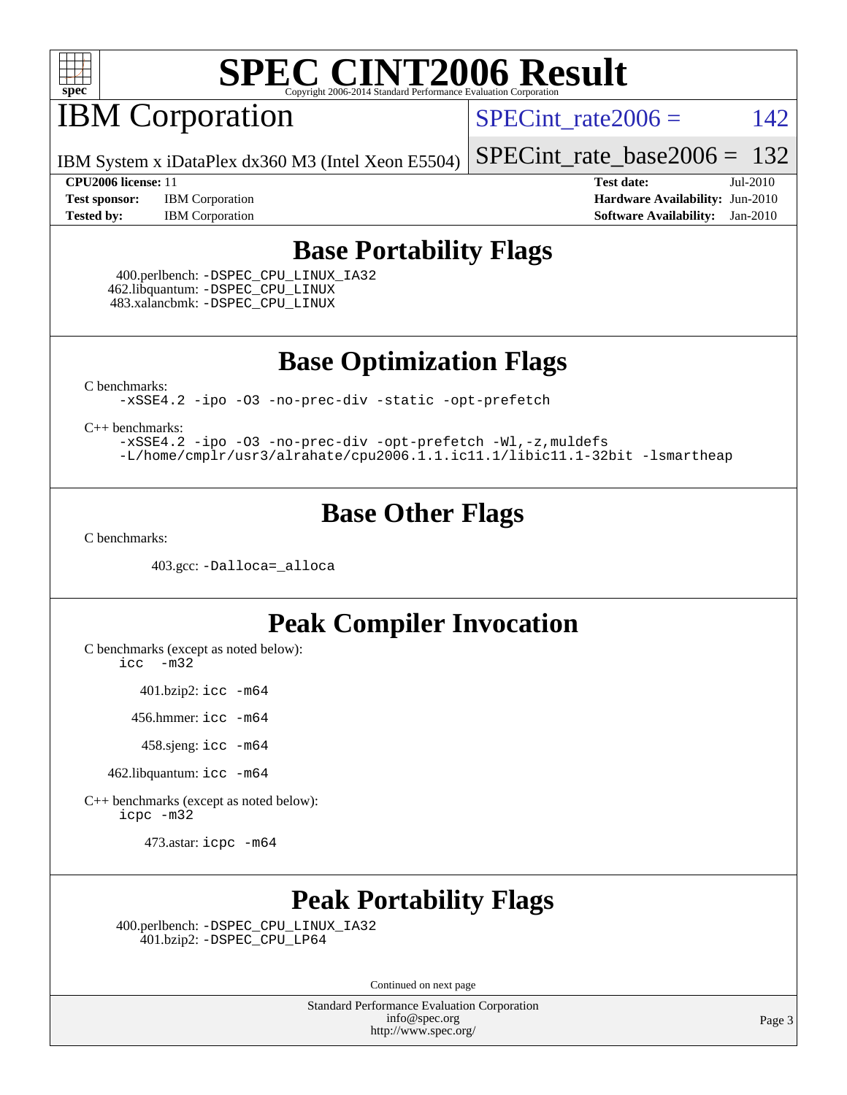

## **IBM Corporation**

SPECint rate $2006 = 142$ 

IBM System x iDataPlex dx360 M3 (Intel Xeon E5504)

[SPECint\\_rate\\_base2006 =](http://www.spec.org/auto/cpu2006/Docs/result-fields.html#SPECintratebase2006) 132

**[Tested by:](http://www.spec.org/auto/cpu2006/Docs/result-fields.html#Testedby)** IBM Corporation **[Software Availability:](http://www.spec.org/auto/cpu2006/Docs/result-fields.html#SoftwareAvailability)** Jan-2010

**[CPU2006 license:](http://www.spec.org/auto/cpu2006/Docs/result-fields.html#CPU2006license)** 11 **[Test date:](http://www.spec.org/auto/cpu2006/Docs/result-fields.html#Testdate)** Jul-2010 **[Test sponsor:](http://www.spec.org/auto/cpu2006/Docs/result-fields.html#Testsponsor)** IBM Corporation **[Hardware Availability:](http://www.spec.org/auto/cpu2006/Docs/result-fields.html#HardwareAvailability)** Jun-2010

### **[Base Portability Flags](http://www.spec.org/auto/cpu2006/Docs/result-fields.html#BasePortabilityFlags)**

 400.perlbench: [-DSPEC\\_CPU\\_LINUX\\_IA32](http://www.spec.org/cpu2006/results/res2010q3/cpu2006-20100719-12466.flags.html#b400.perlbench_baseCPORTABILITY_DSPEC_CPU_LINUX_IA32) 462.libquantum: [-DSPEC\\_CPU\\_LINUX](http://www.spec.org/cpu2006/results/res2010q3/cpu2006-20100719-12466.flags.html#b462.libquantum_baseCPORTABILITY_DSPEC_CPU_LINUX) 483.xalancbmk: [-DSPEC\\_CPU\\_LINUX](http://www.spec.org/cpu2006/results/res2010q3/cpu2006-20100719-12466.flags.html#b483.xalancbmk_baseCXXPORTABILITY_DSPEC_CPU_LINUX)

**[Base Optimization Flags](http://www.spec.org/auto/cpu2006/Docs/result-fields.html#BaseOptimizationFlags)**

[C benchmarks](http://www.spec.org/auto/cpu2006/Docs/result-fields.html#Cbenchmarks):

[-xSSE4.2](http://www.spec.org/cpu2006/results/res2010q3/cpu2006-20100719-12466.flags.html#user_CCbase_f-xSSE42_f91528193cf0b216347adb8b939d4107) [-ipo](http://www.spec.org/cpu2006/results/res2010q3/cpu2006-20100719-12466.flags.html#user_CCbase_f-ipo) [-O3](http://www.spec.org/cpu2006/results/res2010q3/cpu2006-20100719-12466.flags.html#user_CCbase_f-O3) [-no-prec-div](http://www.spec.org/cpu2006/results/res2010q3/cpu2006-20100719-12466.flags.html#user_CCbase_f-no-prec-div) [-static](http://www.spec.org/cpu2006/results/res2010q3/cpu2006-20100719-12466.flags.html#user_CCbase_f-static) [-opt-prefetch](http://www.spec.org/cpu2006/results/res2010q3/cpu2006-20100719-12466.flags.html#user_CCbase_f-opt-prefetch)

[C++ benchmarks:](http://www.spec.org/auto/cpu2006/Docs/result-fields.html#CXXbenchmarks)

[-xSSE4.2](http://www.spec.org/cpu2006/results/res2010q3/cpu2006-20100719-12466.flags.html#user_CXXbase_f-xSSE42_f91528193cf0b216347adb8b939d4107) [-ipo](http://www.spec.org/cpu2006/results/res2010q3/cpu2006-20100719-12466.flags.html#user_CXXbase_f-ipo) [-O3](http://www.spec.org/cpu2006/results/res2010q3/cpu2006-20100719-12466.flags.html#user_CXXbase_f-O3) [-no-prec-div](http://www.spec.org/cpu2006/results/res2010q3/cpu2006-20100719-12466.flags.html#user_CXXbase_f-no-prec-div) [-opt-prefetch](http://www.spec.org/cpu2006/results/res2010q3/cpu2006-20100719-12466.flags.html#user_CXXbase_f-opt-prefetch) [-Wl,-z,muldefs](http://www.spec.org/cpu2006/results/res2010q3/cpu2006-20100719-12466.flags.html#user_CXXbase_link_force_multiple1_74079c344b956b9658436fd1b6dd3a8a) [-L/home/cmplr/usr3/alrahate/cpu2006.1.1.ic11.1/libic11.1-32bit -lsmartheap](http://www.spec.org/cpu2006/results/res2010q3/cpu2006-20100719-12466.flags.html#user_CXXbase_SmartHeap_d86dffe4a79b79ef8890d5cce17030c3)

#### **[Base Other Flags](http://www.spec.org/auto/cpu2006/Docs/result-fields.html#BaseOtherFlags)**

[C benchmarks](http://www.spec.org/auto/cpu2006/Docs/result-fields.html#Cbenchmarks):

403.gcc: [-Dalloca=\\_alloca](http://www.spec.org/cpu2006/results/res2010q3/cpu2006-20100719-12466.flags.html#b403.gcc_baseEXTRA_CFLAGS_Dalloca_be3056838c12de2578596ca5467af7f3)

#### **[Peak Compiler Invocation](http://www.spec.org/auto/cpu2006/Docs/result-fields.html#PeakCompilerInvocation)**

[C benchmarks \(except as noted below\)](http://www.spec.org/auto/cpu2006/Docs/result-fields.html#Cbenchmarksexceptasnotedbelow):

[icc -m32](http://www.spec.org/cpu2006/results/res2010q3/cpu2006-20100719-12466.flags.html#user_CCpeak_intel_icc_32bit_5ff4a39e364c98233615fdd38438c6f2)

401.bzip2: [icc -m64](http://www.spec.org/cpu2006/results/res2010q3/cpu2006-20100719-12466.flags.html#user_peakCCLD401_bzip2_intel_icc_64bit_bda6cc9af1fdbb0edc3795bac97ada53)

456.hmmer: [icc -m64](http://www.spec.org/cpu2006/results/res2010q3/cpu2006-20100719-12466.flags.html#user_peakCCLD456_hmmer_intel_icc_64bit_bda6cc9af1fdbb0edc3795bac97ada53)

458.sjeng: [icc -m64](http://www.spec.org/cpu2006/results/res2010q3/cpu2006-20100719-12466.flags.html#user_peakCCLD458_sjeng_intel_icc_64bit_bda6cc9af1fdbb0edc3795bac97ada53)

462.libquantum: [icc -m64](http://www.spec.org/cpu2006/results/res2010q3/cpu2006-20100719-12466.flags.html#user_peakCCLD462_libquantum_intel_icc_64bit_bda6cc9af1fdbb0edc3795bac97ada53)

[C++ benchmarks \(except as noted below\):](http://www.spec.org/auto/cpu2006/Docs/result-fields.html#CXXbenchmarksexceptasnotedbelow) [icpc -m32](http://www.spec.org/cpu2006/results/res2010q3/cpu2006-20100719-12466.flags.html#user_CXXpeak_intel_icpc_32bit_4e5a5ef1a53fd332b3c49e69c3330699)

473.astar: [icpc -m64](http://www.spec.org/cpu2006/results/res2010q3/cpu2006-20100719-12466.flags.html#user_peakCXXLD473_astar_intel_icpc_64bit_fc66a5337ce925472a5c54ad6a0de310)

### **[Peak Portability Flags](http://www.spec.org/auto/cpu2006/Docs/result-fields.html#PeakPortabilityFlags)**

 400.perlbench: [-DSPEC\\_CPU\\_LINUX\\_IA32](http://www.spec.org/cpu2006/results/res2010q3/cpu2006-20100719-12466.flags.html#b400.perlbench_peakCPORTABILITY_DSPEC_CPU_LINUX_IA32) 401.bzip2: [-DSPEC\\_CPU\\_LP64](http://www.spec.org/cpu2006/results/res2010q3/cpu2006-20100719-12466.flags.html#suite_peakCPORTABILITY401_bzip2_DSPEC_CPU_LP64)

Continued on next page

Standard Performance Evaluation Corporation [info@spec.org](mailto:info@spec.org) <http://www.spec.org/>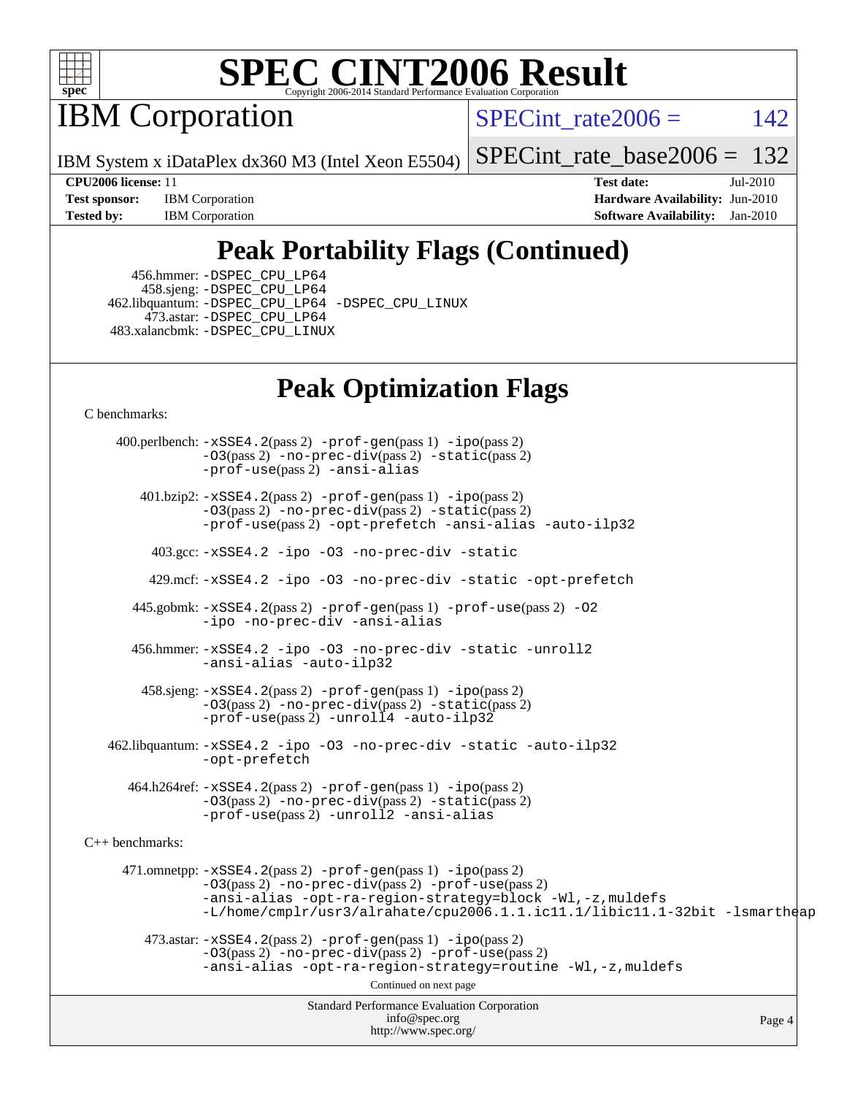

IBM Corporation

SPECint rate $2006 = 142$ 

IBM System x iDataPlex dx360 M3 (Intel Xeon E5504)

[SPECint\\_rate\\_base2006 =](http://www.spec.org/auto/cpu2006/Docs/result-fields.html#SPECintratebase2006) 132

**[Test sponsor:](http://www.spec.org/auto/cpu2006/Docs/result-fields.html#Testsponsor)** IBM Corporation **[Hardware Availability:](http://www.spec.org/auto/cpu2006/Docs/result-fields.html#HardwareAvailability)** Jun-2010 **[Tested by:](http://www.spec.org/auto/cpu2006/Docs/result-fields.html#Testedby)** IBM Corporation **[Software Availability:](http://www.spec.org/auto/cpu2006/Docs/result-fields.html#SoftwareAvailability)** Jan-2010

**[CPU2006 license:](http://www.spec.org/auto/cpu2006/Docs/result-fields.html#CPU2006license)** 11 **[Test date:](http://www.spec.org/auto/cpu2006/Docs/result-fields.html#Testdate)** Jul-2010

## **[Peak Portability Flags \(Continued\)](http://www.spec.org/auto/cpu2006/Docs/result-fields.html#PeakPortabilityFlags)**

 456.hmmer: [-DSPEC\\_CPU\\_LP64](http://www.spec.org/cpu2006/results/res2010q3/cpu2006-20100719-12466.flags.html#suite_peakCPORTABILITY456_hmmer_DSPEC_CPU_LP64) 458.sjeng: [-DSPEC\\_CPU\\_LP64](http://www.spec.org/cpu2006/results/res2010q3/cpu2006-20100719-12466.flags.html#suite_peakCPORTABILITY458_sjeng_DSPEC_CPU_LP64) 462.libquantum: [-DSPEC\\_CPU\\_LP64](http://www.spec.org/cpu2006/results/res2010q3/cpu2006-20100719-12466.flags.html#suite_peakCPORTABILITY462_libquantum_DSPEC_CPU_LP64) [-DSPEC\\_CPU\\_LINUX](http://www.spec.org/cpu2006/results/res2010q3/cpu2006-20100719-12466.flags.html#b462.libquantum_peakCPORTABILITY_DSPEC_CPU_LINUX) 473.astar: [-DSPEC\\_CPU\\_LP64](http://www.spec.org/cpu2006/results/res2010q3/cpu2006-20100719-12466.flags.html#suite_peakCXXPORTABILITY473_astar_DSPEC_CPU_LP64) 483.xalancbmk: [-DSPEC\\_CPU\\_LINUX](http://www.spec.org/cpu2006/results/res2010q3/cpu2006-20100719-12466.flags.html#b483.xalancbmk_peakCXXPORTABILITY_DSPEC_CPU_LINUX)

### **[Peak Optimization Flags](http://www.spec.org/auto/cpu2006/Docs/result-fields.html#PeakOptimizationFlags)**

[C benchmarks](http://www.spec.org/auto/cpu2006/Docs/result-fields.html#Cbenchmarks):

Standard Performance Evaluation Corporation [info@spec.org](mailto:info@spec.org) <http://www.spec.org/> Page 4 400.perlbench: [-xSSE4.2](http://www.spec.org/cpu2006/results/res2010q3/cpu2006-20100719-12466.flags.html#user_peakPASS2_CFLAGSPASS2_LDCFLAGS400_perlbench_f-xSSE42_f91528193cf0b216347adb8b939d4107)(pass 2) [-prof-gen](http://www.spec.org/cpu2006/results/res2010q3/cpu2006-20100719-12466.flags.html#user_peakPASS1_CFLAGSPASS1_LDCFLAGS400_perlbench_prof_gen_e43856698f6ca7b7e442dfd80e94a8fc)(pass 1) [-ipo](http://www.spec.org/cpu2006/results/res2010q3/cpu2006-20100719-12466.flags.html#user_peakPASS2_CFLAGSPASS2_LDCFLAGS400_perlbench_f-ipo)(pass 2) [-O3](http://www.spec.org/cpu2006/results/res2010q3/cpu2006-20100719-12466.flags.html#user_peakPASS2_CFLAGSPASS2_LDCFLAGS400_perlbench_f-O3)(pass 2) [-no-prec-div](http://www.spec.org/cpu2006/results/res2010q3/cpu2006-20100719-12466.flags.html#user_peakPASS2_CFLAGSPASS2_LDCFLAGS400_perlbench_f-no-prec-div)(pass 2) [-static](http://www.spec.org/cpu2006/results/res2010q3/cpu2006-20100719-12466.flags.html#user_peakPASS2_CFLAGSPASS2_LDCFLAGS400_perlbench_f-static)(pass 2) [-prof-use](http://www.spec.org/cpu2006/results/res2010q3/cpu2006-20100719-12466.flags.html#user_peakPASS2_CFLAGSPASS2_LDCFLAGS400_perlbench_prof_use_bccf7792157ff70d64e32fe3e1250b55)(pass 2) [-ansi-alias](http://www.spec.org/cpu2006/results/res2010q3/cpu2006-20100719-12466.flags.html#user_peakCOPTIMIZE400_perlbench_f-ansi-alias) 401.bzip2: [-xSSE4.2](http://www.spec.org/cpu2006/results/res2010q3/cpu2006-20100719-12466.flags.html#user_peakPASS2_CFLAGSPASS2_LDCFLAGS401_bzip2_f-xSSE42_f91528193cf0b216347adb8b939d4107)(pass 2) [-prof-gen](http://www.spec.org/cpu2006/results/res2010q3/cpu2006-20100719-12466.flags.html#user_peakPASS1_CFLAGSPASS1_LDCFLAGS401_bzip2_prof_gen_e43856698f6ca7b7e442dfd80e94a8fc)(pass 1) [-ipo](http://www.spec.org/cpu2006/results/res2010q3/cpu2006-20100719-12466.flags.html#user_peakPASS2_CFLAGSPASS2_LDCFLAGS401_bzip2_f-ipo)(pass 2) [-O3](http://www.spec.org/cpu2006/results/res2010q3/cpu2006-20100719-12466.flags.html#user_peakPASS2_CFLAGSPASS2_LDCFLAGS401_bzip2_f-O3)(pass 2) [-no-prec-div](http://www.spec.org/cpu2006/results/res2010q3/cpu2006-20100719-12466.flags.html#user_peakPASS2_CFLAGSPASS2_LDCFLAGS401_bzip2_f-no-prec-div)(pass 2) [-static](http://www.spec.org/cpu2006/results/res2010q3/cpu2006-20100719-12466.flags.html#user_peakPASS2_CFLAGSPASS2_LDCFLAGS401_bzip2_f-static)(pass 2) [-prof-use](http://www.spec.org/cpu2006/results/res2010q3/cpu2006-20100719-12466.flags.html#user_peakPASS2_CFLAGSPASS2_LDCFLAGS401_bzip2_prof_use_bccf7792157ff70d64e32fe3e1250b55)(pass 2) [-opt-prefetch](http://www.spec.org/cpu2006/results/res2010q3/cpu2006-20100719-12466.flags.html#user_peakCOPTIMIZE401_bzip2_f-opt-prefetch) [-ansi-alias](http://www.spec.org/cpu2006/results/res2010q3/cpu2006-20100719-12466.flags.html#user_peakCOPTIMIZE401_bzip2_f-ansi-alias) [-auto-ilp32](http://www.spec.org/cpu2006/results/res2010q3/cpu2006-20100719-12466.flags.html#user_peakCOPTIMIZE401_bzip2_f-auto-ilp32) 403.gcc: [-xSSE4.2](http://www.spec.org/cpu2006/results/res2010q3/cpu2006-20100719-12466.flags.html#user_peakCOPTIMIZE403_gcc_f-xSSE42_f91528193cf0b216347adb8b939d4107) [-ipo](http://www.spec.org/cpu2006/results/res2010q3/cpu2006-20100719-12466.flags.html#user_peakCOPTIMIZE403_gcc_f-ipo) [-O3](http://www.spec.org/cpu2006/results/res2010q3/cpu2006-20100719-12466.flags.html#user_peakCOPTIMIZE403_gcc_f-O3) [-no-prec-div](http://www.spec.org/cpu2006/results/res2010q3/cpu2006-20100719-12466.flags.html#user_peakCOPTIMIZE403_gcc_f-no-prec-div) [-static](http://www.spec.org/cpu2006/results/res2010q3/cpu2006-20100719-12466.flags.html#user_peakCOPTIMIZE403_gcc_f-static) 429.mcf: [-xSSE4.2](http://www.spec.org/cpu2006/results/res2010q3/cpu2006-20100719-12466.flags.html#user_peakCOPTIMIZE429_mcf_f-xSSE42_f91528193cf0b216347adb8b939d4107) [-ipo](http://www.spec.org/cpu2006/results/res2010q3/cpu2006-20100719-12466.flags.html#user_peakCOPTIMIZE429_mcf_f-ipo) [-O3](http://www.spec.org/cpu2006/results/res2010q3/cpu2006-20100719-12466.flags.html#user_peakCOPTIMIZE429_mcf_f-O3) [-no-prec-div](http://www.spec.org/cpu2006/results/res2010q3/cpu2006-20100719-12466.flags.html#user_peakCOPTIMIZE429_mcf_f-no-prec-div) [-static](http://www.spec.org/cpu2006/results/res2010q3/cpu2006-20100719-12466.flags.html#user_peakCOPTIMIZE429_mcf_f-static) [-opt-prefetch](http://www.spec.org/cpu2006/results/res2010q3/cpu2006-20100719-12466.flags.html#user_peakCOPTIMIZE429_mcf_f-opt-prefetch) 445.gobmk: [-xSSE4.2](http://www.spec.org/cpu2006/results/res2010q3/cpu2006-20100719-12466.flags.html#user_peakPASS2_CFLAGSPASS2_LDCFLAGS445_gobmk_f-xSSE42_f91528193cf0b216347adb8b939d4107)(pass 2) [-prof-gen](http://www.spec.org/cpu2006/results/res2010q3/cpu2006-20100719-12466.flags.html#user_peakPASS1_CFLAGSPASS1_LDCFLAGS445_gobmk_prof_gen_e43856698f6ca7b7e442dfd80e94a8fc)(pass 1) [-prof-use](http://www.spec.org/cpu2006/results/res2010q3/cpu2006-20100719-12466.flags.html#user_peakPASS2_CFLAGSPASS2_LDCFLAGS445_gobmk_prof_use_bccf7792157ff70d64e32fe3e1250b55)(pass 2) [-O2](http://www.spec.org/cpu2006/results/res2010q3/cpu2006-20100719-12466.flags.html#user_peakCOPTIMIZE445_gobmk_f-O2) [-ipo](http://www.spec.org/cpu2006/results/res2010q3/cpu2006-20100719-12466.flags.html#user_peakCOPTIMIZE445_gobmk_f-ipo) [-no-prec-div](http://www.spec.org/cpu2006/results/res2010q3/cpu2006-20100719-12466.flags.html#user_peakCOPTIMIZE445_gobmk_f-no-prec-div) [-ansi-alias](http://www.spec.org/cpu2006/results/res2010q3/cpu2006-20100719-12466.flags.html#user_peakCOPTIMIZE445_gobmk_f-ansi-alias) 456.hmmer: [-xSSE4.2](http://www.spec.org/cpu2006/results/res2010q3/cpu2006-20100719-12466.flags.html#user_peakCOPTIMIZE456_hmmer_f-xSSE42_f91528193cf0b216347adb8b939d4107) [-ipo](http://www.spec.org/cpu2006/results/res2010q3/cpu2006-20100719-12466.flags.html#user_peakCOPTIMIZE456_hmmer_f-ipo) [-O3](http://www.spec.org/cpu2006/results/res2010q3/cpu2006-20100719-12466.flags.html#user_peakCOPTIMIZE456_hmmer_f-O3) [-no-prec-div](http://www.spec.org/cpu2006/results/res2010q3/cpu2006-20100719-12466.flags.html#user_peakCOPTIMIZE456_hmmer_f-no-prec-div) [-static](http://www.spec.org/cpu2006/results/res2010q3/cpu2006-20100719-12466.flags.html#user_peakCOPTIMIZE456_hmmer_f-static) [-unroll2](http://www.spec.org/cpu2006/results/res2010q3/cpu2006-20100719-12466.flags.html#user_peakCOPTIMIZE456_hmmer_f-unroll_784dae83bebfb236979b41d2422d7ec2) [-ansi-alias](http://www.spec.org/cpu2006/results/res2010q3/cpu2006-20100719-12466.flags.html#user_peakCOPTIMIZE456_hmmer_f-ansi-alias) [-auto-ilp32](http://www.spec.org/cpu2006/results/res2010q3/cpu2006-20100719-12466.flags.html#user_peakCOPTIMIZE456_hmmer_f-auto-ilp32) 458.sjeng: [-xSSE4.2](http://www.spec.org/cpu2006/results/res2010q3/cpu2006-20100719-12466.flags.html#user_peakPASS2_CFLAGSPASS2_LDCFLAGS458_sjeng_f-xSSE42_f91528193cf0b216347adb8b939d4107)(pass 2) [-prof-gen](http://www.spec.org/cpu2006/results/res2010q3/cpu2006-20100719-12466.flags.html#user_peakPASS1_CFLAGSPASS1_LDCFLAGS458_sjeng_prof_gen_e43856698f6ca7b7e442dfd80e94a8fc)(pass 1) [-ipo](http://www.spec.org/cpu2006/results/res2010q3/cpu2006-20100719-12466.flags.html#user_peakPASS2_CFLAGSPASS2_LDCFLAGS458_sjeng_f-ipo)(pass 2) [-O3](http://www.spec.org/cpu2006/results/res2010q3/cpu2006-20100719-12466.flags.html#user_peakPASS2_CFLAGSPASS2_LDCFLAGS458_sjeng_f-O3)(pass 2) [-no-prec-div](http://www.spec.org/cpu2006/results/res2010q3/cpu2006-20100719-12466.flags.html#user_peakPASS2_CFLAGSPASS2_LDCFLAGS458_sjeng_f-no-prec-div)(pass 2) [-static](http://www.spec.org/cpu2006/results/res2010q3/cpu2006-20100719-12466.flags.html#user_peakPASS2_CFLAGSPASS2_LDCFLAGS458_sjeng_f-static)(pass 2) [-prof-use](http://www.spec.org/cpu2006/results/res2010q3/cpu2006-20100719-12466.flags.html#user_peakPASS2_CFLAGSPASS2_LDCFLAGS458_sjeng_prof_use_bccf7792157ff70d64e32fe3e1250b55)(pass 2) [-unroll4](http://www.spec.org/cpu2006/results/res2010q3/cpu2006-20100719-12466.flags.html#user_peakCOPTIMIZE458_sjeng_f-unroll_4e5e4ed65b7fd20bdcd365bec371b81f) [-auto-ilp32](http://www.spec.org/cpu2006/results/res2010q3/cpu2006-20100719-12466.flags.html#user_peakCOPTIMIZE458_sjeng_f-auto-ilp32) 462.libquantum: [-xSSE4.2](http://www.spec.org/cpu2006/results/res2010q3/cpu2006-20100719-12466.flags.html#user_peakCOPTIMIZE462_libquantum_f-xSSE42_f91528193cf0b216347adb8b939d4107) [-ipo](http://www.spec.org/cpu2006/results/res2010q3/cpu2006-20100719-12466.flags.html#user_peakCOPTIMIZE462_libquantum_f-ipo) [-O3](http://www.spec.org/cpu2006/results/res2010q3/cpu2006-20100719-12466.flags.html#user_peakCOPTIMIZE462_libquantum_f-O3) [-no-prec-div](http://www.spec.org/cpu2006/results/res2010q3/cpu2006-20100719-12466.flags.html#user_peakCOPTIMIZE462_libquantum_f-no-prec-div) [-static](http://www.spec.org/cpu2006/results/res2010q3/cpu2006-20100719-12466.flags.html#user_peakCOPTIMIZE462_libquantum_f-static) [-auto-ilp32](http://www.spec.org/cpu2006/results/res2010q3/cpu2006-20100719-12466.flags.html#user_peakCOPTIMIZE462_libquantum_f-auto-ilp32) [-opt-prefetch](http://www.spec.org/cpu2006/results/res2010q3/cpu2006-20100719-12466.flags.html#user_peakCOPTIMIZE462_libquantum_f-opt-prefetch) 464.h264ref: [-xSSE4.2](http://www.spec.org/cpu2006/results/res2010q3/cpu2006-20100719-12466.flags.html#user_peakPASS2_CFLAGSPASS2_LDCFLAGS464_h264ref_f-xSSE42_f91528193cf0b216347adb8b939d4107)(pass 2) [-prof-gen](http://www.spec.org/cpu2006/results/res2010q3/cpu2006-20100719-12466.flags.html#user_peakPASS1_CFLAGSPASS1_LDCFLAGS464_h264ref_prof_gen_e43856698f6ca7b7e442dfd80e94a8fc)(pass 1) [-ipo](http://www.spec.org/cpu2006/results/res2010q3/cpu2006-20100719-12466.flags.html#user_peakPASS2_CFLAGSPASS2_LDCFLAGS464_h264ref_f-ipo)(pass 2) [-O3](http://www.spec.org/cpu2006/results/res2010q3/cpu2006-20100719-12466.flags.html#user_peakPASS2_CFLAGSPASS2_LDCFLAGS464_h264ref_f-O3)(pass 2) [-no-prec-div](http://www.spec.org/cpu2006/results/res2010q3/cpu2006-20100719-12466.flags.html#user_peakPASS2_CFLAGSPASS2_LDCFLAGS464_h264ref_f-no-prec-div)(pass 2) [-static](http://www.spec.org/cpu2006/results/res2010q3/cpu2006-20100719-12466.flags.html#user_peakPASS2_CFLAGSPASS2_LDCFLAGS464_h264ref_f-static)(pass 2) [-prof-use](http://www.spec.org/cpu2006/results/res2010q3/cpu2006-20100719-12466.flags.html#user_peakPASS2_CFLAGSPASS2_LDCFLAGS464_h264ref_prof_use_bccf7792157ff70d64e32fe3e1250b55)(pass 2) [-unroll2](http://www.spec.org/cpu2006/results/res2010q3/cpu2006-20100719-12466.flags.html#user_peakCOPTIMIZE464_h264ref_f-unroll_784dae83bebfb236979b41d2422d7ec2) [-ansi-alias](http://www.spec.org/cpu2006/results/res2010q3/cpu2006-20100719-12466.flags.html#user_peakCOPTIMIZE464_h264ref_f-ansi-alias) [C++ benchmarks:](http://www.spec.org/auto/cpu2006/Docs/result-fields.html#CXXbenchmarks) 471.omnetpp: [-xSSE4.2](http://www.spec.org/cpu2006/results/res2010q3/cpu2006-20100719-12466.flags.html#user_peakPASS2_CXXFLAGSPASS2_LDCXXFLAGS471_omnetpp_f-xSSE42_f91528193cf0b216347adb8b939d4107)(pass 2) [-prof-gen](http://www.spec.org/cpu2006/results/res2010q3/cpu2006-20100719-12466.flags.html#user_peakPASS1_CXXFLAGSPASS1_LDCXXFLAGS471_omnetpp_prof_gen_e43856698f6ca7b7e442dfd80e94a8fc)(pass 1) [-ipo](http://www.spec.org/cpu2006/results/res2010q3/cpu2006-20100719-12466.flags.html#user_peakPASS2_CXXFLAGSPASS2_LDCXXFLAGS471_omnetpp_f-ipo)(pass 2) [-O3](http://www.spec.org/cpu2006/results/res2010q3/cpu2006-20100719-12466.flags.html#user_peakPASS2_CXXFLAGSPASS2_LDCXXFLAGS471_omnetpp_f-O3)(pass 2) [-no-prec-div](http://www.spec.org/cpu2006/results/res2010q3/cpu2006-20100719-12466.flags.html#user_peakPASS2_CXXFLAGSPASS2_LDCXXFLAGS471_omnetpp_f-no-prec-div)(pass 2) [-prof-use](http://www.spec.org/cpu2006/results/res2010q3/cpu2006-20100719-12466.flags.html#user_peakPASS2_CXXFLAGSPASS2_LDCXXFLAGS471_omnetpp_prof_use_bccf7792157ff70d64e32fe3e1250b55)(pass 2) [-ansi-alias](http://www.spec.org/cpu2006/results/res2010q3/cpu2006-20100719-12466.flags.html#user_peakCXXOPTIMIZE471_omnetpp_f-ansi-alias) [-opt-ra-region-strategy=block](http://www.spec.org/cpu2006/results/res2010q3/cpu2006-20100719-12466.flags.html#user_peakCXXOPTIMIZE471_omnetpp_f-opt-ra-region-strategy-block_a0a37c372d03933b2a18d4af463c1f69) [-Wl,-z,muldefs](http://www.spec.org/cpu2006/results/res2010q3/cpu2006-20100719-12466.flags.html#user_peakEXTRA_LDFLAGS471_omnetpp_link_force_multiple1_74079c344b956b9658436fd1b6dd3a8a) [-L/home/cmplr/usr3/alrahate/cpu2006.1.1.ic11.1/libic11.1-32bit -lsmartheap](http://www.spec.org/cpu2006/results/res2010q3/cpu2006-20100719-12466.flags.html#user_peakEXTRA_LIBS471_omnetpp_SmartHeap_d86dffe4a79b79ef8890d5cce17030c3)  $473.\text{astar: } -xSSE4$ .  $2(\text{pass 2})$   $-\text{prof-gen}(\text{pass 1})$   $-i\text{po}(\text{pass 2})$ [-O3](http://www.spec.org/cpu2006/results/res2010q3/cpu2006-20100719-12466.flags.html#user_peakPASS2_CXXFLAGSPASS2_LDCXXFLAGS473_astar_f-O3)(pass 2) [-no-prec-div](http://www.spec.org/cpu2006/results/res2010q3/cpu2006-20100719-12466.flags.html#user_peakPASS2_CXXFLAGSPASS2_LDCXXFLAGS473_astar_f-no-prec-div)(pass 2) [-prof-use](http://www.spec.org/cpu2006/results/res2010q3/cpu2006-20100719-12466.flags.html#user_peakPASS2_CXXFLAGSPASS2_LDCXXFLAGS473_astar_prof_use_bccf7792157ff70d64e32fe3e1250b55)(pass 2) [-ansi-alias](http://www.spec.org/cpu2006/results/res2010q3/cpu2006-20100719-12466.flags.html#user_peakCXXOPTIMIZE473_astar_f-ansi-alias) [-opt-ra-region-strategy=routine](http://www.spec.org/cpu2006/results/res2010q3/cpu2006-20100719-12466.flags.html#user_peakCXXOPTIMIZE473_astar_f-opt-ra-region-strategy-routine_ba086ea3b1d46a52e1238e2ca173ed44) [-Wl,-z,muldefs](http://www.spec.org/cpu2006/results/res2010q3/cpu2006-20100719-12466.flags.html#user_peakEXTRA_LDFLAGS473_astar_link_force_multiple1_74079c344b956b9658436fd1b6dd3a8a) Continued on next page